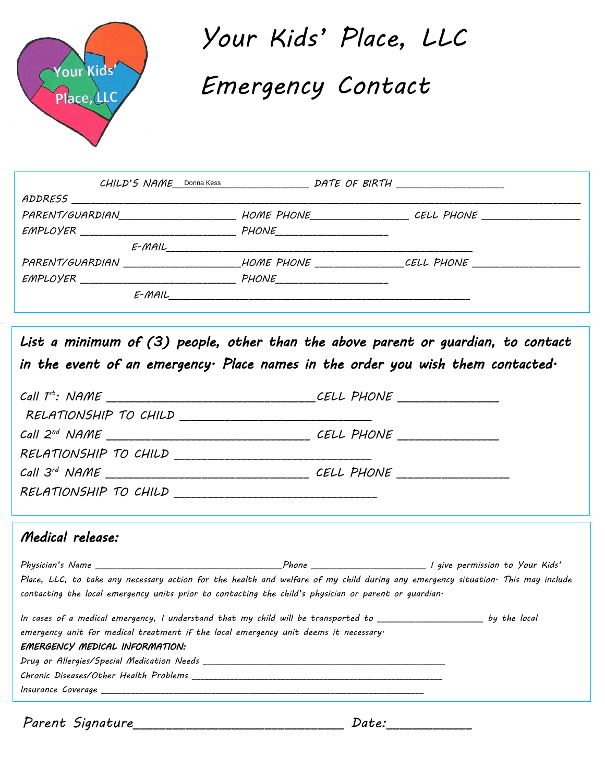

*Your Kids' Place, LLC Emergency Contact* 

| PARENT/GUARDIAN |       | HOME PHONE CELL PHONE |
|-----------------|-------|-----------------------|
|                 | PHONE |                       |
| E-MAIL          |       |                       |
| PARENT/GUARDIAN |       | HOME PHONE CELL PHONE |
|                 | PHONE |                       |
|                 |       |                       |

List a minimum of (3) people, other than the above parent or guardian, to contact *in the event of an emergency. Place names in the order you wish them contacted.* 

| RELATIONSHIP TO CHILD ___________________________________                                                                        |  |
|----------------------------------------------------------------------------------------------------------------------------------|--|
|                                                                                                                                  |  |
|                                                                                                                                  |  |
|                                                                                                                                  |  |
|                                                                                                                                  |  |
| Medical release:                                                                                                                 |  |
|                                                                                                                                  |  |
| Place, LLC, to take any necessary action for the health and welfare of my child during any emergency situation· This may include |  |
| contacting the local emergency units prior to contacting the child's physician or parent or guardian.                            |  |

| In cases of a medical emergency, I understand that my child will be transported to _________________ |  | by the local |
|------------------------------------------------------------------------------------------------------|--|--------------|
| emergency unit for medical treatment if the local emergency unit deems it necessary.                 |  |              |
| EMERGENCY MEDICAL INFORMATION:                                                                       |  |              |
|                                                                                                      |  |              |
|                                                                                                      |  |              |
| Insurance Coverage                                                                                   |  |              |
|                                                                                                      |  |              |

*Parent Signature\_\_\_\_\_\_\_\_\_\_\_\_\_\_\_\_\_\_\_\_\_\_\_\_\_\_\_\_\_\_\_\_ Date:\_\_\_\_\_\_\_\_\_\_\_\_\_*

| Date: |  |
|-------|--|
|-------|--|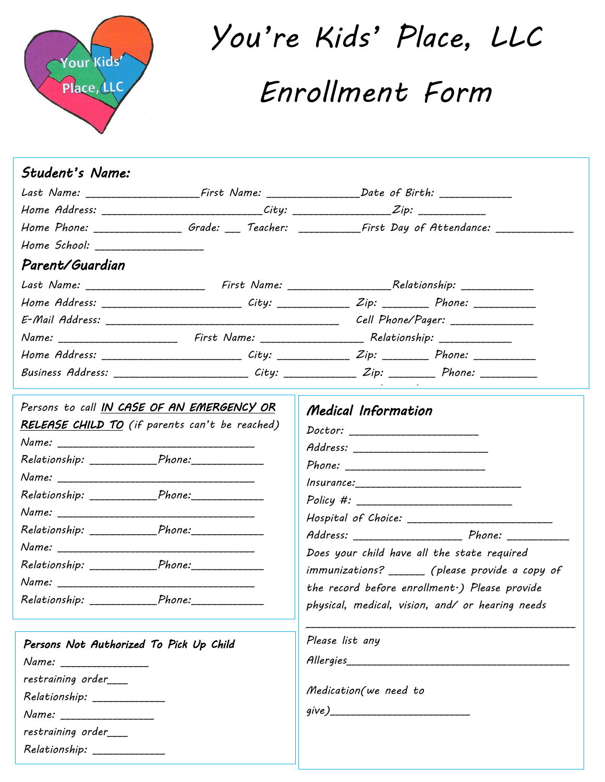

*You're Kids' Place, LLC Enrollment Form* 

| Student's Name:                                    |                                                |                                                                                                                |
|----------------------------------------------------|------------------------------------------------|----------------------------------------------------------------------------------------------------------------|
|                                                    |                                                | Last Name: _____________________First Name: _____________________Date of Birth: ___________________            |
|                                                    |                                                | Home Address: _______________________________City: _____________________Zip: _______________________           |
|                                                    |                                                | Home Phone: ___________________Grade: ____ Teacher: _____________First Day of Attendance: ________________     |
| Home School: ____________________                  |                                                |                                                                                                                |
| Parent/Guardian                                    |                                                |                                                                                                                |
|                                                    |                                                | Last Name: __________________________ First Name: _______________________________Relationship: _______________ |
|                                                    |                                                | Home Address: ___________________________City: _______________Zip: _____________ Phone: ____________           |
|                                                    |                                                |                                                                                                                |
|                                                    |                                                |                                                                                                                |
|                                                    |                                                | Home Address: __________________________City: ______________Zip: ______________Phone: _____________            |
|                                                    |                                                | Business Address: _______________________ City: _____________ Zip: _________ Phone: ___________                |
|                                                    | Persons to call IN CASE OF AN EMERGENCY OR     | Medical Information                                                                                            |
|                                                    | RELEASE CHILD TO (if parents can't be reached) |                                                                                                                |
|                                                    |                                                | Address: ____________________________                                                                          |
| Relationship: Phone: Phone:                        |                                                |                                                                                                                |
|                                                    |                                                |                                                                                                                |
| Relationship: _______________Phone:_______________ |                                                |                                                                                                                |
|                                                    |                                                |                                                                                                                |
| Relationship: _______________Phone:______________  |                                                |                                                                                                                |
|                                                    |                                                | Does your child have all the state required                                                                    |
| Relationship: ______________Phone:_______________  |                                                | immunizations? _______ (please provide a copy of                                                               |
| Name:                                              |                                                | $1$ and $1$ can multiply $1$ D $2$ and $1$                                                                     |

*Relationship: \_\_\_\_\_\_\_\_\_\_\_\_\_\_*

| the record before enrollment .) Please provide<br>physical, medical, vision, and/ or hearing needs |
|----------------------------------------------------------------------------------------------------|
| Please list any                                                                                    |
| Allergies                                                                                          |
|                                                                                                    |
| Medication (we need to                                                                             |
|                                                                                                    |
|                                                                                                    |
|                                                                                                    |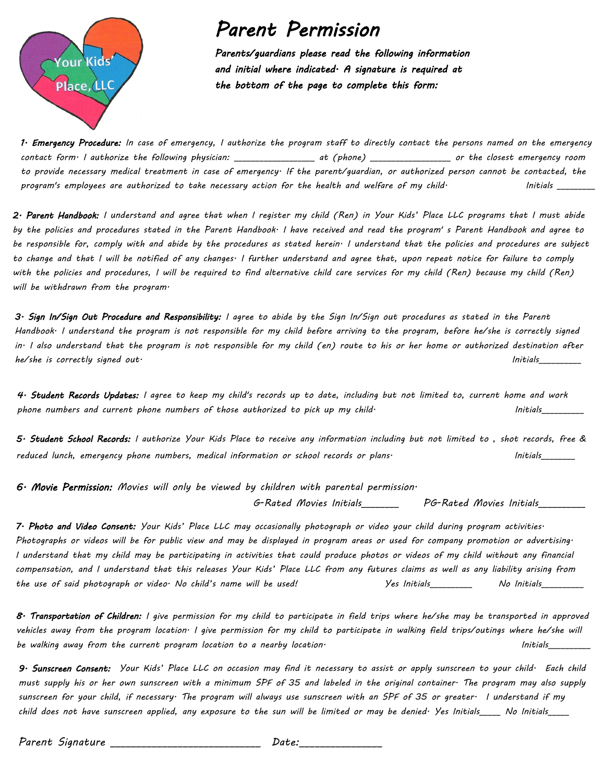

## *Parent Permission*

*Parents/guardians please read the following information and initial where indicated. A signature is required at the bottom of the page to complete this form:* 

*1. Emergency Procedure: In case of emergency, I authorize the program staff to directly contact the persons named on the emergency contact form. I authorize the following physician: \_\_\_\_\_\_\_\_\_\_\_\_\_\_\_\_\_\_\_ at (phone) \_\_\_\_\_\_\_\_\_\_\_\_\_\_\_\_\_\_\_ or the closest emergency room to provide necessary medical treatment in case of emergency. If the parent/guardian, or authorized person cannot be contacted, the*  program's employees are authorized to take necessary action for the health and welfare of my child<sup>.</sup> Thitials

*2. Parent Handbook: I understand and agree that when I register my child (Ren) in Your Kids' Place LLC programs that I must abide by the policies and procedures stated in the Parent Handbook. I have received and read the program' s Parent Handbook and agree to be responsible for, comply with and abide by the procedures as stated herein. I understand that the policies and procedures are subject to change and that I will be notified of any changes. I further understand and agree that, upon repeat notice for failure to comply with the policies and procedures, I will be required to find alternative child care services for my child (Ren) because my child (Ren) will be withdrawn from the program.* 

*3. Sign In/Sign Out Procedure and Responsibility: I agree to abide by the Sign In/Sign out procedures as stated in the Parent Handbook. I understand the program is not responsible for my child before arriving to the program, before he/she is correctly signed in. I also understand that the program is not responsible for my child (en) route to his or her home or authorized destination after he/she is correctly signed out. Initials\_\_\_\_\_\_\_\_\_\_* 

*4. Student Records Updates: I agree to keep my child's records up to date, including but not limited to, current home and work*  phone numbers and current phone numbers of those authorized to pick up my child<sup>.</sup> This initials

*5. Student School Records: I authorize Your Kids Place to receive any information including but not limited to , shot records, free & reduced lunch, emergency phone numbers, medical information or school records or plans. Initials\_\_\_\_\_\_\_\_*

*6. Movie Permission: Movies will only be viewed by children with parental permission.* 

 *G-Rated Movies Initials\_\_\_\_\_\_\_\_ PG-Rated Movies Initials\_\_\_\_\_\_\_\_\_\_* 

*7. Photo and Video Consent: Your Kids' Place LLC may occasionally photograph or video your child during program activities. Photographs or videos will be for public view and may be displayed in program areas or used for company promotion or advertising. I understand that my child may be participating in activities that could produce photos or videos of my child without any financial compensation, and I understand that this releases Your Kids' Place LLC from any futures claims as well as any liability arising from the use of said photograph or video. No child's name will be used! Yes Initials\_\_\_\_\_\_\_\_\_\_ No Initials\_\_\_\_\_\_\_\_\_\_*

*8. Transportation of Children: I give permission for my child to participate in field trips where he/she may be transported in approved vehicles away from the program location. I give permission for my child to participate in walking field trips/outings where he/she will be walking away from the current program location to a nearby location. Initials\_\_\_\_\_\_\_\_\_\_* 

*9. Sunscreen Consent: Your Kids' Place LLC on occasion may find it necessary to assist or apply sunscreen to your child. Each child must supply his or her own sunscreen with a minimum SPF of 35 and labeled in the original container. The program may also supply sunscreen for your child, if necessary. The program will always use sunscreen with an SPF of 35 or greater. I understand if my child does not have sunscreen applied, any exposure to the sun will be limited or may be denied. Yes Initials\_\_\_\_\_ No Initials\_\_\_\_\_*